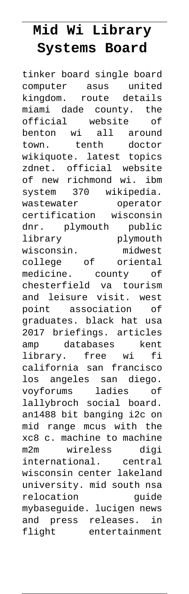## **Mid Wi Library Systems Board**

tinker board single board computer asus united kingdom. route details miami dade county. the official website of benton wi all around town. tenth doctor wikiquote. latest topics zdnet. official website of new richmond wi. ibm system 370 wikipedia. wastewater operator certification wisconsin dnr. plymouth public library plymouth wisconsin. midwest college of oriental medicine. county of chesterfield va tourism and leisure visit. west point association of graduates. black hat usa 2017 briefings. articles amp databases kent library. free wi fi california san francisco los angeles san diego. voyforums ladies of lallybroch social board. an1488 bit banging i2c on mid range mcus with the xc8 c. machine to machine m2m wireless digi international. central wisconsin center lakeland university. mid south nsa relocation quide mybaseguide. lucigen news and press releases. in flight entertainment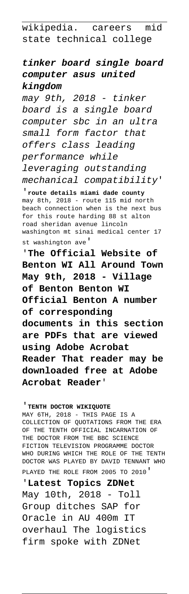wikipedia. careers mid state technical college

## **tinker board single board computer asus united kingdom**

may 9th, 2018 - tinker board is a single board computer sbc in an ultra small form factor that offers class leading performance while leveraging outstanding mechanical compatibility'

'**route details miami dade county** may 8th, 2018 - route 115 mid north beach connection when is the next bus for this route harding 88 st alton road sheridan avenue lincoln washington mt sinai medical center 17 st washington ave'

'**The Official Website of Benton WI All Around Town May 9th, 2018 - Village of Benton Benton WI Official Benton A number of corresponding documents in this section are PDFs that are viewed using Adobe Acrobat Reader That reader may be downloaded free at Adobe Acrobat Reader**'

'**TENTH DOCTOR WIKIQUOTE**

MAY 6TH, 2018 - THIS PAGE IS A COLLECTION OF QUOTATIONS FROM THE ERA OF THE TENTH OFFICIAL INCARNATION OF THE DOCTOR FROM THE BBC SCIENCE FICTION TELEVISION PROGRAMME DOCTOR WHO DURING WHICH THE ROLE OF THE TENTH DOCTOR WAS PLAYED BY DAVID TENNANT WHO PLAYED THE ROLE FROM 2005 TO 2010'

'**Latest Topics ZDNet** May 10th, 2018 - Toll Group ditches SAP for Oracle in AU 400m IT overhaul The logistics firm spoke with ZDNet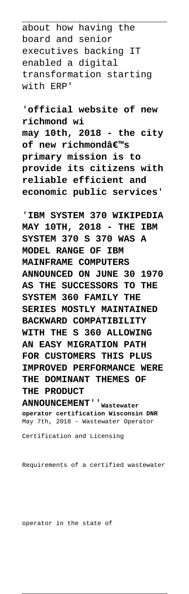about how having the board and senior executives backing IT enabled a digital transformation starting with ERP'

'**official website of new richmond wi may 10th, 2018 - the city of new richmondâ€**<sup>™s</sup> **primary mission is to provide its citizens with reliable efficient and economic public services**'

'**IBM SYSTEM 370 WIKIPEDIA MAY 10TH, 2018 - THE IBM SYSTEM 370 S 370 WAS A MODEL RANGE OF IBM MAINFRAME COMPUTERS ANNOUNCED ON JUNE 30 1970 AS THE SUCCESSORS TO THE SYSTEM 360 FAMILY THE SERIES MOSTLY MAINTAINED BACKWARD COMPATIBILITY WITH THE S 360 ALLOWING AN EASY MIGRATION PATH FOR CUSTOMERS THIS PLUS IMPROVED PERFORMANCE WERE THE DOMINANT THEMES OF THE PRODUCT**

**ANNOUNCEMENT**''**Wastewater operator certification Wisconsin DNR** May 7th, 2018 - Wastewater Operator

Certification and Licensing

Requirements of a certified wastewater

operator in the state of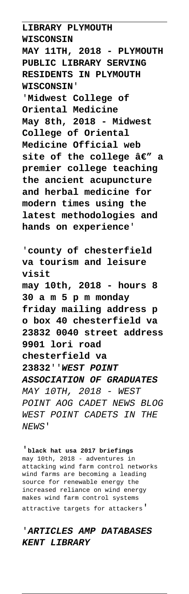**LIBRARY PLYMOUTH WISCONSIN MAY 11TH, 2018 - PLYMOUTH PUBLIC LIBRARY SERVING RESIDENTS IN PLYMOUTH WISCONSIN**' '**Midwest College of**

**Oriental Medicine May 8th, 2018 - Midwest College of Oriental Medicine Official web** site of the college  $\hat{a}\epsilon$ " a **premier college teaching the ancient acupuncture and herbal medicine for modern times using the latest methodologies and hands on experience**'

'**county of chesterfield va tourism and leisure visit may 10th, 2018 - hours 8 30 a m 5 p m monday friday mailing address p o box 40 chesterfield va 23832 0040 street address 9901 lori road chesterfield va 23832**''**WEST POINT ASSOCIATION OF GRADUATES** MAY 10TH, 2018 - WEST POINT AOG CADET NEWS BLOG WEST POINT CADETS IN THE NEWS'

'**black hat usa 2017 briefings** may 10th, 2018 - adventures in attacking wind farm control networks wind farms are becoming a leading source for renewable energy the increased reliance on wind energy makes wind farm control systems attractive targets for attackers'

## '**ARTICLES AMP DATABASES KENT LIBRARY**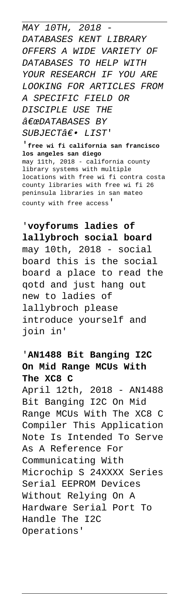MAY 10TH, 2018 DATABASES KENT LIBRARY OFFERS A WIDE VARIETY OF DATABASES TO HELP WITH YOUR RESEARCH IF YOU ARE LOOKING FOR ARTICLES FROM A SPECIFIC FIELD OR DISCIPLE USE THE  $\hat{a} \in \emptyset$ PDATABASES BY  $SUBJECTA \epsilon \bullet LIST'$ 

'**free wi fi california san francisco los angeles san diego** may 11th, 2018 - california county library systems with multiple locations with free wi fi contra costa county libraries with free wi fi 26 peninsula libraries in san mateo county with free access'

'**voyforums ladies of lallybroch social board** may 10th, 2018 - social board this is the social board a place to read the qotd and just hang out new to ladies of lallybroch please introduce yourself and join in'

## '**AN1488 Bit Banging I2C On Mid Range MCUs With The XC8 C**

April 12th, 2018 - AN1488 Bit Banging I2C On Mid Range MCUs With The XC8 C Compiler This Application Note Is Intended To Serve As A Reference For Communicating With Microchip S 24XXXX Series Serial EEPROM Devices Without Relying On A Hardware Serial Port To Handle The I2C Operations'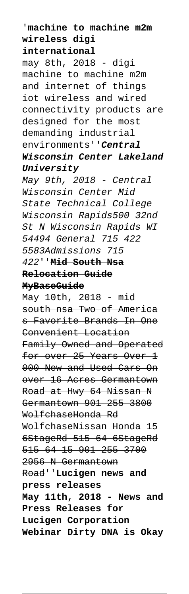'**machine to machine m2m wireless digi international** may 8th, 2018 - digi machine to machine m2m and internet of things iot wireless and wired connectivity products are designed for the most demanding industrial environments''**Central Wisconsin Center Lakeland University** May 9th, 2018 - Central Wisconsin Center Mid State Technical College Wisconsin Rapids500 32nd St N Wisconsin Rapids WI 54494 General 715 422 5583Admissions 715 422''**Mid South Nsa Relocation Guide MyBaseGuide** May 10th, 2018 - mid south nsa Two of America s Favorite Brands In One Convenient Location Family Owned and Operated for over 25 Years Over 1 000 New and Used Cars On over 16 Acres Germantown Road at Hwy 64 Nissan N Germantown 901 255 3800 WolfchaseHonda Rd WolfchaseNissan Honda 15 6StageRd 515 64 6StageRd 515 64 15 901 255 3700 2956 N Germantown Road''**Lucigen news and press releases May 11th, 2018 - News and Press Releases for Lucigen Corporation Webinar Dirty DNA is Okay**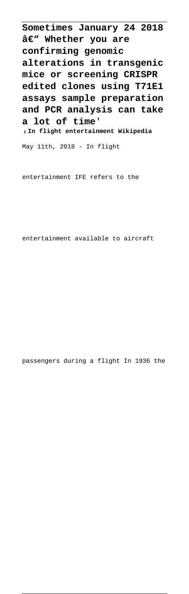**Sometimes January 24 2018** â€<sup>w</sup> Whether you are **confirming genomic alterations in transgenic mice or screening CRISPR edited clones using T71E1 assays sample preparation and PCR analysis can take a lot of time**'

'**In flight entertainment Wikipedia**

May 11th, 2018 - In flight

entertainment IFE refers to the

entertainment available to aircraft

passengers during a flight In 1936 the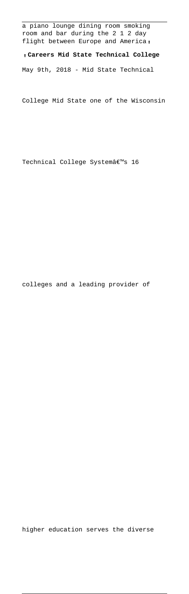a piano lounge dining room smoking room and bar during the 2 1 2 day flight between Europe and America,

'**Careers Mid State Technical College**

May 9th, 2018 - Mid State Technical

College Mid State one of the Wisconsin

Technical College Systemâ€<sup>™</sup>s 16

colleges and a leading provider of

higher education serves the diverse